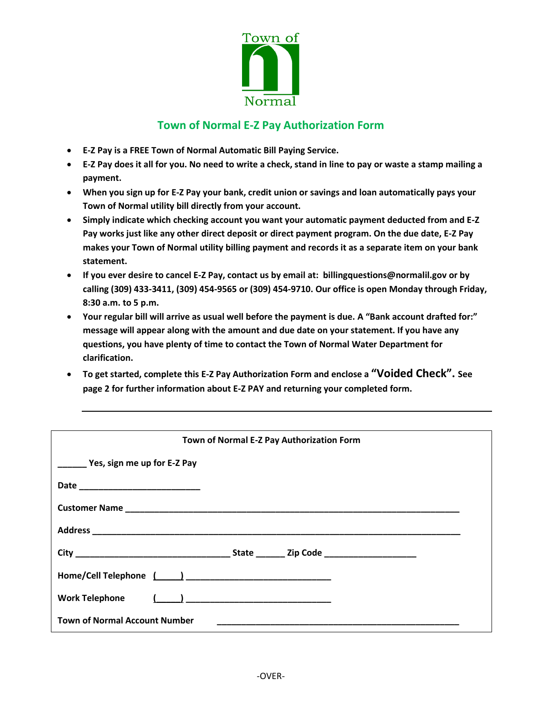

## **Town of Normal E-Z Pay Authorization Form**

- **E-Z Pay is a FREE Town of Normal Automatic Bill Paying Service.**
- **E-Z Pay does it all for you. No need to write a check, stand in line to pay or waste a stamp mailing a payment.**
- **When you sign up for E-Z Pay your bank, credit union or savings and loan automatically pays your Town of Normal utility bill directly from your account.**
- **Simply indicate which checking account you want your automatic payment deducted from and E-Z Pay works just like any other direct deposit or direct payment program. On the due date, E-Z Pay makes your Town of Normal utility billing payment and records it as a separate item on your bank statement.**
- **If you ever desire to cancel E-Z Pay, contact us by email at: billingquestions@normalil.gov or by calling (309) 433-3411, (309) 454-9565 or (309) 454-9710. Our office is open Monday through Friday, 8:30 a.m. to 5 p.m.**
- **Your regular bill will arrive as usual well before the payment is due. A "Bank account drafted for:" message will appear along with the amount and due date on your statement. If you have any questions, you have plenty of time to contact the Town of Normal Water Department for clarification.**
- **To get started, complete this E-Z Pay Authorization Form and enclose a "Voided Check". See page 2 for further information about E-Z PAY and returning your completed form.**

| Town of Normal E-Z Pay Authorization Form                                                                                                                    |
|--------------------------------------------------------------------------------------------------------------------------------------------------------------|
| Yes, sign me up for E-Z Pay                                                                                                                                  |
|                                                                                                                                                              |
|                                                                                                                                                              |
|                                                                                                                                                              |
|                                                                                                                                                              |
|                                                                                                                                                              |
|                                                                                                                                                              |
| <b>Town of Normal Account Number</b><br><u> 1989 - Johann John Stone, markin sanadi a shekara ta 1989 - An tsara tsara tsara tsara tsara tsara tsara tsa</u> |